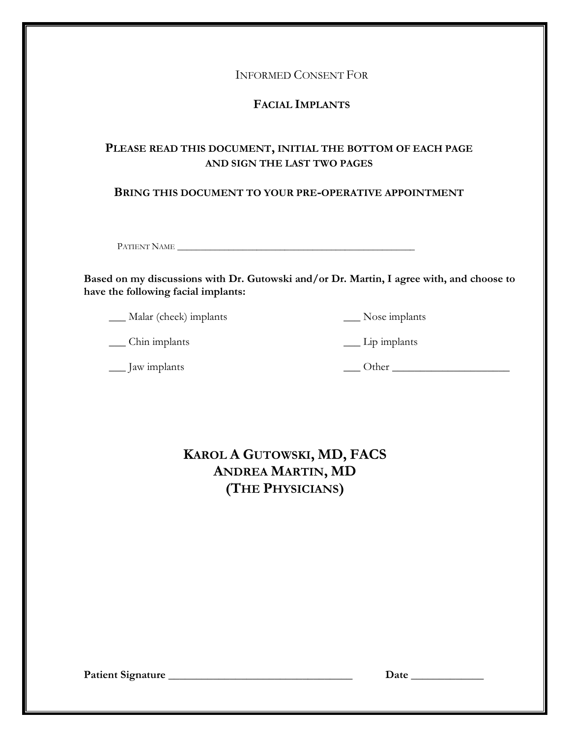INFORMED CONSENT FOR

# **FACIAL IMPLANTS**

# **PLEASE READ THIS DOCUMENT, INITIAL THE BOTTOM OF EACH PAGE AND SIGN THE LAST TWO PAGES**

### **BRING THIS DOCUMENT TO YOUR PRE-OPERATIVE APPOINTMENT**

PATIENT NAME \_\_\_\_\_\_\_\_\_\_\_\_\_\_\_\_\_\_\_\_\_\_\_\_\_\_\_\_\_\_\_\_\_\_\_\_\_\_\_\_\_\_\_\_\_\_\_\_\_\_\_

**Based on my discussions with Dr. Gutowski and/or Dr. Martin, I agree with, and choose to have the following facial implants:** 

\_\_\_ Malar (cheek) implants

\_\_\_ Nose implants

\_\_\_ Lip implants

\_\_\_ Chin implants

\_\_\_ Jaw implants

 $\frac{\text{Other}}{\text{Other}}$ 

# **KAROL A GUTOWSKI, MD, FACS ANDREA MARTIN, MD (THE PHYSICIANS)**

**Patient Signature \_\_\_\_\_\_\_\_\_\_\_\_\_\_\_\_\_\_\_\_\_\_\_\_\_\_\_\_\_\_\_\_\_ Date \_\_\_\_\_\_\_\_\_\_\_\_\_**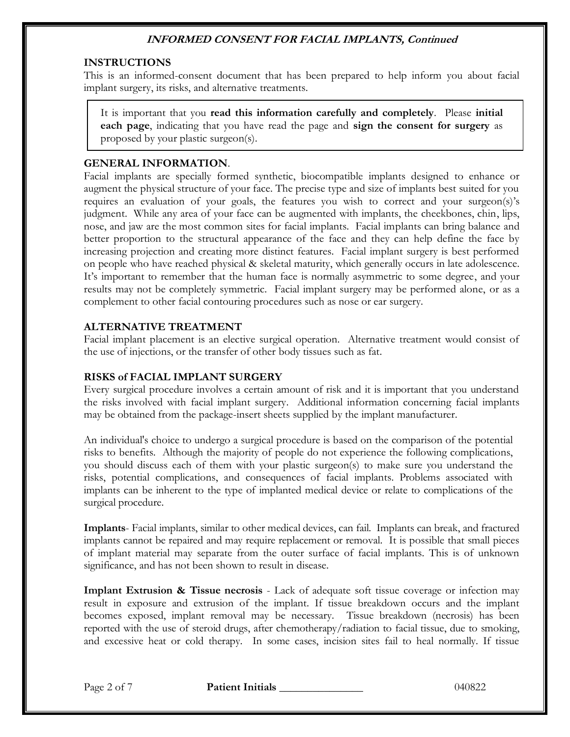### **INSTRUCTIONS**

This is an informed-consent document that has been prepared to help inform you about facial implant surgery, its risks, and alternative treatments.

It is important that you **read this information carefully and completely**. Please **initial each page**, indicating that you have read the page and **sign the consent for surgery** as proposed by your plastic surgeon(s).

#### **GENERAL INFORMATION**.

Facial implants are specially formed synthetic, biocompatible implants designed to enhance or augment the physical structure of your face. The precise type and size of implants best suited for you requires an evaluation of your goals, the features you wish to correct and your surgeon(s)'s judgment. While any area of your face can be augmented with implants, the cheekbones, chin, lips, nose, and jaw are the most common sites for facial implants. Facial implants can bring balance and better proportion to the structural appearance of the face and they can help define the face by increasing projection and creating more distinct features. Facial implant surgery is best performed on people who have reached physical & skeletal maturity, which generally occurs in late adolescence. It's important to remember that the human face is normally asymmetric to some degree, and your results may not be completely symmetric. Facial implant surgery may be performed alone, or as a complement to other facial contouring procedures such as nose or ear surgery.

#### **ALTERNATIVE TREATMENT**

Facial implant placement is an elective surgical operation. Alternative treatment would consist of the use of injections, or the transfer of other body tissues such as fat.

#### **RISKS of FACIAL IMPLANT SURGERY**

Every surgical procedure involves a certain amount of risk and it is important that you understand the risks involved with facial implant surgery. Additional information concerning facial implants may be obtained from the package-insert sheets supplied by the implant manufacturer.

An individual's choice to undergo a surgical procedure is based on the comparison of the potential risks to benefits. Although the majority of people do not experience the following complications, you should discuss each of them with your plastic surgeon(s) to make sure you understand the risks, potential complications, and consequences of facial implants. Problems associated with implants can be inherent to the type of implanted medical device or relate to complications of the surgical procedure.

**Implants**- Facial implants, similar to other medical devices, can fail. Implants can break, and fractured implants cannot be repaired and may require replacement or removal. It is possible that small pieces of implant material may separate from the outer surface of facial implants. This is of unknown significance, and has not been shown to result in disease.

**Implant Extrusion & Tissue necrosis** - Lack of adequate soft tissue coverage or infection may result in exposure and extrusion of the implant. If tissue breakdown occurs and the implant becomes exposed, implant removal may be necessary. Tissue breakdown (necrosis) has been reported with the use of steroid drugs, after chemotherapy/radiation to facial tissue, due to smoking, and excessive heat or cold therapy. In some cases, incision sites fail to heal normally. If tissue

Page 2 of 7 **Patient Initials 200822 Page 2 of 7 81 Patient Initials**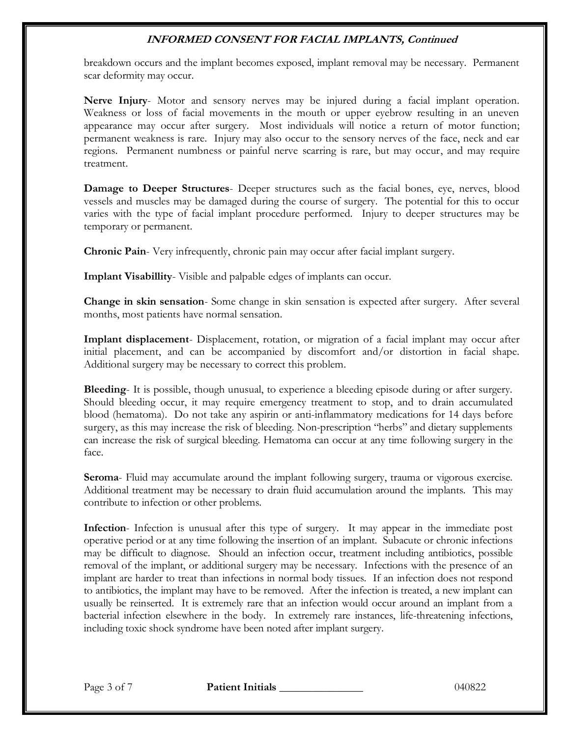breakdown occurs and the implant becomes exposed, implant removal may be necessary. Permanent scar deformity may occur.

**Nerve Injury**- Motor and sensory nerves may be injured during a facial implant operation. Weakness or loss of facial movements in the mouth or upper eyebrow resulting in an uneven appearance may occur after surgery. Most individuals will notice a return of motor function; permanent weakness is rare. Injury may also occur to the sensory nerves of the face, neck and ear regions. Permanent numbness or painful nerve scarring is rare, but may occur, and may require treatment.

**Damage to Deeper Structures**- Deeper structures such as the facial bones, eye, nerves, blood vessels and muscles may be damaged during the course of surgery. The potential for this to occur varies with the type of facial implant procedure performed. Injury to deeper structures may be temporary or permanent.

**Chronic Pain**- Very infrequently, chronic pain may occur after facial implant surgery.

**Implant Visabillity**- Visible and palpable edges of implants can occur.

**Change in skin sensation**- Some change in skin sensation is expected after surgery. After several months, most patients have normal sensation.

**Implant displacement**- Displacement, rotation, or migration of a facial implant may occur after initial placement, and can be accompanied by discomfort and/or distortion in facial shape. Additional surgery may be necessary to correct this problem.

**Bleeding**- It is possible, though unusual, to experience a bleeding episode during or after surgery. Should bleeding occur, it may require emergency treatment to stop, and to drain accumulated blood (hematoma). Do not take any aspirin or anti-inflammatory medications for 14 days before surgery, as this may increase the risk of bleeding. Non-prescription "herbs" and dietary supplements can increase the risk of surgical bleeding. Hematoma can occur at any time following surgery in the face.

**Seroma**- Fluid may accumulate around the implant following surgery, trauma or vigorous exercise. Additional treatment may be necessary to drain fluid accumulation around the implants. This may contribute to infection or other problems.

**Infection**- Infection is unusual after this type of surgery. It may appear in the immediate post operative period or at any time following the insertion of an implant. Subacute or chronic infections may be difficult to diagnose. Should an infection occur, treatment including antibiotics, possible removal of the implant, or additional surgery may be necessary. Infections with the presence of an implant are harder to treat than infections in normal body tissues. If an infection does not respond to antibiotics, the implant may have to be removed. After the infection is treated, a new implant can usually be reinserted. It is extremely rare that an infection would occur around an implant from a bacterial infection elsewhere in the body. In extremely rare instances, life-threatening infections, including toxic shock syndrome have been noted after implant surgery.

Page 3 of 7 **Patient Initials 1998 Page 3 of 7 Patient Initials** 1040822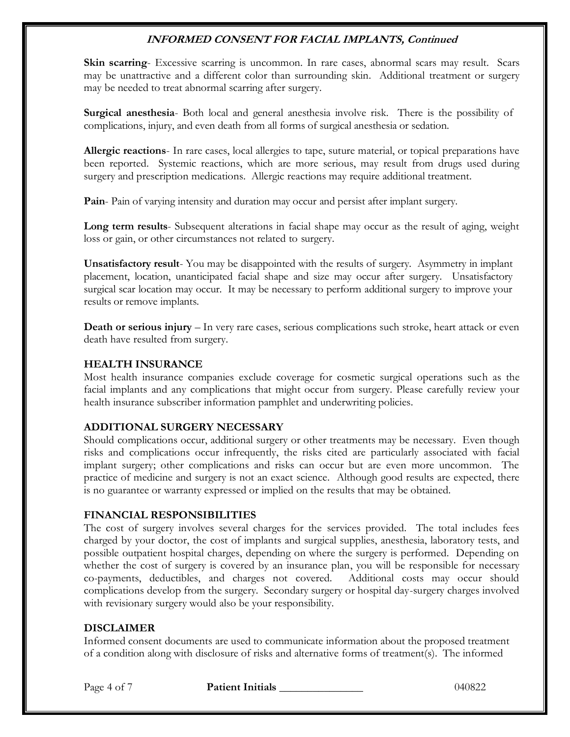**Skin scarring**- Excessive scarring is uncommon. In rare cases, abnormal scars may result. Scars may be unattractive and a different color than surrounding skin. Additional treatment or surgery may be needed to treat abnormal scarring after surgery.

**Surgical anesthesia**- Both local and general anesthesia involve risk. There is the possibility of complications, injury, and even death from all forms of surgical anesthesia or sedation.

**Allergic reactions**- In rare cases, local allergies to tape, suture material, or topical preparations have been reported. Systemic reactions, which are more serious, may result from drugs used during surgery and prescription medications. Allergic reactions may require additional treatment.

**Pain**- Pain of varying intensity and duration may occur and persist after implant surgery.

**Long term results**- Subsequent alterations in facial shape may occur as the result of aging, weight loss or gain, or other circumstances not related to surgery.

**Unsatisfactory result**- You may be disappointed with the results of surgery. Asymmetry in implant placement, location, unanticipated facial shape and size may occur after surgery. Unsatisfactory surgical scar location may occur. It may be necessary to perform additional surgery to improve your results or remove implants.

**Death or serious injury** – In very rare cases, serious complications such stroke, heart attack or even death have resulted from surgery.

#### **HEALTH INSURANCE**

Most health insurance companies exclude coverage for cosmetic surgical operations such as the facial implants and any complications that might occur from surgery. Please carefully review your health insurance subscriber information pamphlet and underwriting policies.

### **ADDITIONAL SURGERY NECESSARY**

Should complications occur, additional surgery or other treatments may be necessary. Even though risks and complications occur infrequently, the risks cited are particularly associated with facial implant surgery; other complications and risks can occur but are even more uncommon. The practice of medicine and surgery is not an exact science. Although good results are expected, there is no guarantee or warranty expressed or implied on the results that may be obtained.

### **FINANCIAL RESPONSIBILITIES**

The cost of surgery involves several charges for the services provided. The total includes fees charged by your doctor, the cost of implants and surgical supplies, anesthesia, laboratory tests, and possible outpatient hospital charges, depending on where the surgery is performed. Depending on whether the cost of surgery is covered by an insurance plan, you will be responsible for necessary co-payments, deductibles, and charges not covered. Additional costs may occur should complications develop from the surgery. Secondary surgery or hospital day-surgery charges involved with revisionary surgery would also be your responsibility.

### **DISCLAIMER**

Informed consent documents are used to communicate information about the proposed treatment of a condition along with disclosure of risks and alternative forms of treatment(s). The informed

Page 4 of 7 **Patient Initials 1998 Page 4 of 7 Patient Initials** 1040822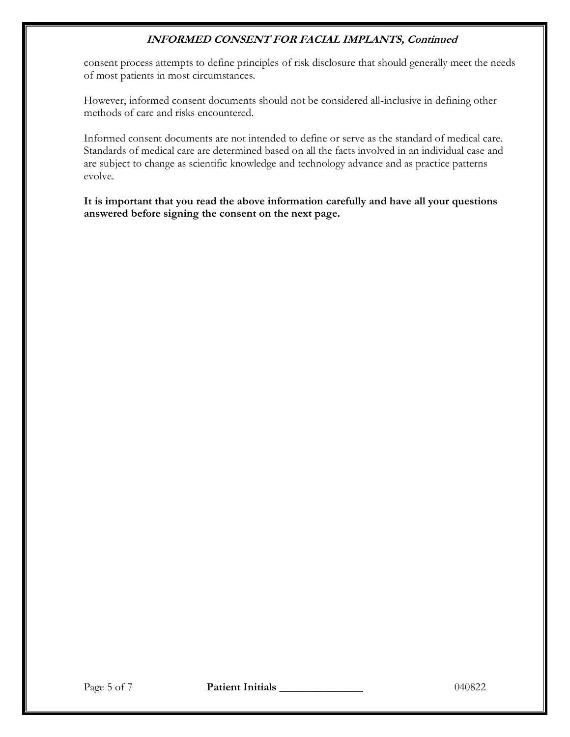consent process attempts to define principles of risk disclosure that should generally meet the needs of most patients in most circumstances.

However, informed consent documents should not be considered all-inclusive in defining other methods of care and risks encountered.

Informed consent documents are not intended to define or serve as the standard of medical care. Standards of medical care are determined based on all the facts involved in an individual case and are subject to change as scientific knowledge and technology advance and as practice patterns evolve.

**It is important that you read the above information carefully and have all your questions answered before signing the consent on the next page.**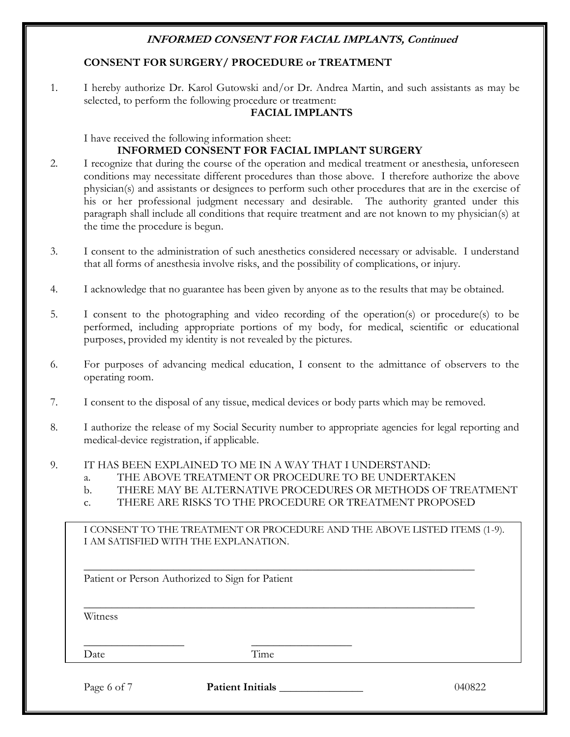### **CONSENT FOR SURGERY/ PROCEDURE or TREATMENT**

1. I hereby authorize Dr. Karol Gutowski and/or Dr. Andrea Martin, and such assistants as may be selected, to perform the following procedure or treatment:

#### **FACIAL IMPLANTS**

I have received the following information sheet:

### **INFORMED CONSENT FOR FACIAL IMPLANT SURGERY**

- 2. I recognize that during the course of the operation and medical treatment or anesthesia, unforeseen conditions may necessitate different procedures than those above. I therefore authorize the above physician(s) and assistants or designees to perform such other procedures that are in the exercise of his or her professional judgment necessary and desirable. The authority granted under this paragraph shall include all conditions that require treatment and are not known to my physician(s) at the time the procedure is begun.
- 3. I consent to the administration of such anesthetics considered necessary or advisable. I understand that all forms of anesthesia involve risks, and the possibility of complications, or injury.
- 4. I acknowledge that no guarantee has been given by anyone as to the results that may be obtained.
- 5. I consent to the photographing and video recording of the operation(s) or procedure(s) to be performed, including appropriate portions of my body, for medical, scientific or educational purposes, provided my identity is not revealed by the pictures.
- 6. For purposes of advancing medical education, I consent to the admittance of observers to the operating room.
- 7. I consent to the disposal of any tissue, medical devices or body parts which may be removed.
- 8. I authorize the release of my Social Security number to appropriate agencies for legal reporting and medical-device registration, if applicable.
- 9. IT HAS BEEN EXPLAINED TO ME IN A WAY THAT I UNDERSTAND:
	- a. THE ABOVE TREATMENT OR PROCEDURE TO BE UNDERTAKEN
	- b. THERE MAY BE ALTERNATIVE PROCEDURES OR METHODS OF TREATMENT
	- c. THERE ARE RISKS TO THE PROCEDURE OR TREATMENT PROPOSED

\_\_\_\_\_\_\_\_\_\_\_\_\_\_\_\_\_\_\_\_\_\_\_\_\_\_\_\_\_\_\_\_\_\_\_\_\_\_\_\_\_\_\_\_\_\_\_\_\_\_\_\_\_\_\_\_\_\_\_\_\_\_\_\_\_\_\_\_\_\_

\_\_\_\_\_\_\_\_\_\_\_\_\_\_\_\_\_\_\_\_\_\_\_\_\_\_\_\_\_\_\_\_\_\_\_\_\_\_\_\_\_\_\_\_\_\_\_\_\_\_\_\_\_\_\_\_\_\_\_\_\_\_\_\_\_\_\_\_\_\_

| I CONSENT TO THE TREATMENT OR PROCEDURE AND THE ABOVE LISTED ITEMS (1-9). |  |
|---------------------------------------------------------------------------|--|
| I AM SATISFIED WITH THE EXPLANATION.                                      |  |

Patient or Person Authorized to Sign for Patient

**Witness** 

Date Time

Page 6 of 7 **Patient Initials 1998 Page 6 of 7 Patient Initials** 1040822

\_\_\_\_\_\_\_\_\_\_\_\_\_\_\_\_\_\_ \_\_\_\_\_\_\_\_\_\_\_\_\_\_\_\_\_\_